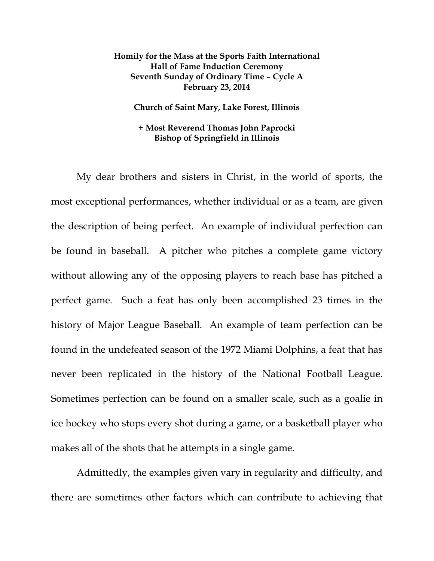## **Homily for the Mass at the Sports Faith International Hall of Fame Induction Ceremony Seventh Sunday of Ordinary Time – Cycle A February 23, 2014**

**Church of Saint Mary, Lake Forest, Illinois** 

## **+ Most Reverend Thomas John Paprocki Bishop of Springfield in Illinois**

My dear brothers and sisters in Christ, in the world of sports, the most exceptional performances, whether individual or as a team, are given the description of being perfect. An example of individual perfection can be found in baseball. A pitcher who pitches a complete game victory without allowing any of the opposing players to reach base has pitched a perfect game. Such a feat has only been accomplished 23 times in the history of Major League Baseball. An example of team perfection can be found in the undefeated season of the 1972 Miami Dolphins, a feat that has never been replicated in the history of the National Football League. Sometimes perfection can be found on a smaller scale, such as a goalie in ice hockey who stops every shot during a game, or a basketball player who makes all of the shots that he attempts in a single game.

Admittedly, the examples given vary in regularity and difficulty, and there are sometimes other factors which can contribute to achieving that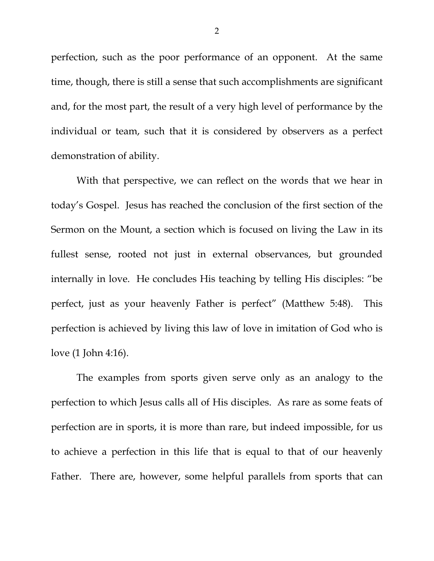perfection, such as the poor performance of an opponent. At the same time, though, there is still a sense that such accomplishments are significant and, for the most part, the result of a very high level of performance by the individual or team, such that it is considered by observers as a perfect demonstration of ability.

With that perspective, we can reflect on the words that we hear in today's Gospel. Jesus has reached the conclusion of the first section of the Sermon on the Mount, a section which is focused on living the Law in its fullest sense, rooted not just in external observances, but grounded internally in love. He concludes His teaching by telling His disciples: "be perfect, just as your heavenly Father is perfect" (Matthew 5:48). This perfection is achieved by living this law of love in imitation of God who is love (1 John 4:16).

The examples from sports given serve only as an analogy to the perfection to which Jesus calls all of His disciples. As rare as some feats of perfection are in sports, it is more than rare, but indeed impossible, for us to achieve a perfection in this life that is equal to that of our heavenly Father. There are, however, some helpful parallels from sports that can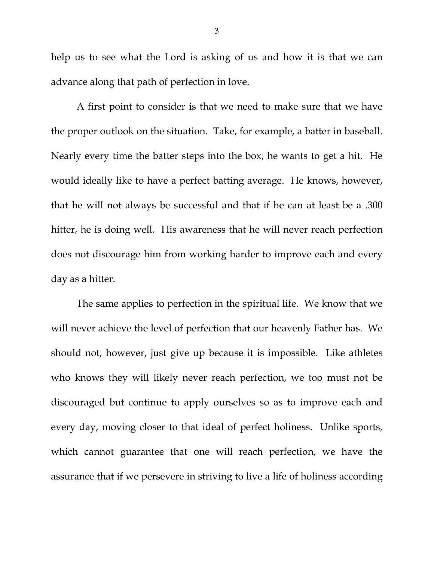help us to see what the Lord is asking of us and how it is that we can advance along that path of perfection in love.

A first point to consider is that we need to make sure that we have the proper outlook on the situation. Take, for example, a batter in baseball. Nearly every time the batter steps into the box, he wants to get a hit. He would ideally like to have a perfect batting average. He knows, however, that he will not always be successful and that if he can at least be a .300 hitter, he is doing well. His awareness that he will never reach perfection does not discourage him from working harder to improve each and every day as a hitter.

The same applies to perfection in the spiritual life. We know that we will never achieve the level of perfection that our heavenly Father has. We should not, however, just give up because it is impossible. Like athletes who knows they will likely never reach perfection, we too must not be discouraged but continue to apply ourselves so as to improve each and every day, moving closer to that ideal of perfect holiness. Unlike sports, which cannot guarantee that one will reach perfection, we have the assurance that if we persevere in striving to live a life of holiness according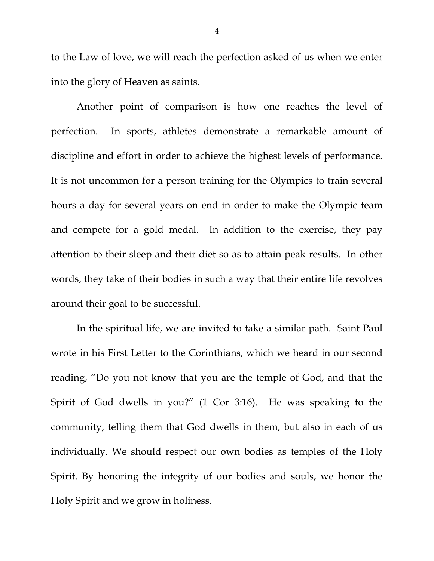to the Law of love, we will reach the perfection asked of us when we enter into the glory of Heaven as saints.

Another point of comparison is how one reaches the level of perfection. In sports, athletes demonstrate a remarkable amount of discipline and effort in order to achieve the highest levels of performance. It is not uncommon for a person training for the Olympics to train several hours a day for several years on end in order to make the Olympic team and compete for a gold medal. In addition to the exercise, they pay attention to their sleep and their diet so as to attain peak results. In other words, they take of their bodies in such a way that their entire life revolves around their goal to be successful.

In the spiritual life, we are invited to take a similar path. Saint Paul wrote in his First Letter to the Corinthians, which we heard in our second reading, "Do you not know that you are the temple of God, and that the Spirit of God dwells in you?" (1 Cor 3:16). He was speaking to the community, telling them that God dwells in them, but also in each of us individually. We should respect our own bodies as temples of the Holy Spirit. By honoring the integrity of our bodies and souls, we honor the Holy Spirit and we grow in holiness.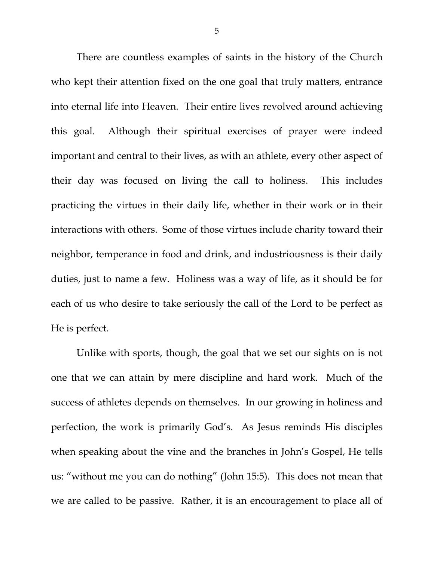There are countless examples of saints in the history of the Church who kept their attention fixed on the one goal that truly matters, entrance into eternal life into Heaven. Their entire lives revolved around achieving this goal. Although their spiritual exercises of prayer were indeed important and central to their lives, as with an athlete, every other aspect of their day was focused on living the call to holiness. This includes practicing the virtues in their daily life, whether in their work or in their interactions with others. Some of those virtues include charity toward their neighbor, temperance in food and drink, and industriousness is their daily duties, just to name a few. Holiness was a way of life, as it should be for each of us who desire to take seriously the call of the Lord to be perfect as He is perfect.

Unlike with sports, though, the goal that we set our sights on is not one that we can attain by mere discipline and hard work. Much of the success of athletes depends on themselves. In our growing in holiness and perfection, the work is primarily God's. As Jesus reminds His disciples when speaking about the vine and the branches in John's Gospel, He tells us: "without me you can do nothing" (John 15:5). This does not mean that we are called to be passive. Rather, it is an encouragement to place all of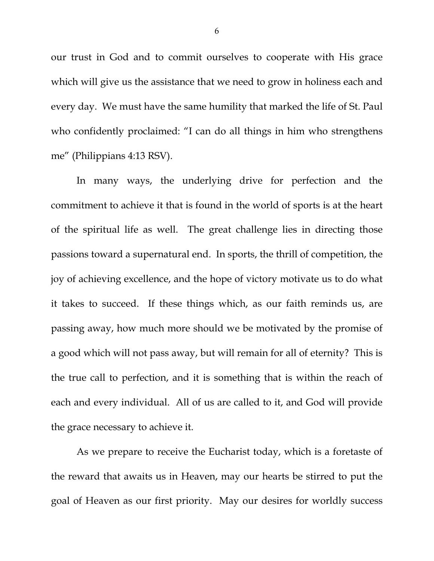our trust in God and to commit ourselves to cooperate with His grace which will give us the assistance that we need to grow in holiness each and every day. We must have the same humility that marked the life of St. Paul who confidently proclaimed: "I can do all things in him who strengthens me" (Philippians 4:13 RSV).

In many ways, the underlying drive for perfection and the commitment to achieve it that is found in the world of sports is at the heart of the spiritual life as well. The great challenge lies in directing those passions toward a supernatural end. In sports, the thrill of competition, the joy of achieving excellence, and the hope of victory motivate us to do what it takes to succeed. If these things which, as our faith reminds us, are passing away, how much more should we be motivated by the promise of a good which will not pass away, but will remain for all of eternity? This is the true call to perfection, and it is something that is within the reach of each and every individual. All of us are called to it, and God will provide the grace necessary to achieve it.

As we prepare to receive the Eucharist today, which is a foretaste of the reward that awaits us in Heaven, may our hearts be stirred to put the goal of Heaven as our first priority. May our desires for worldly success